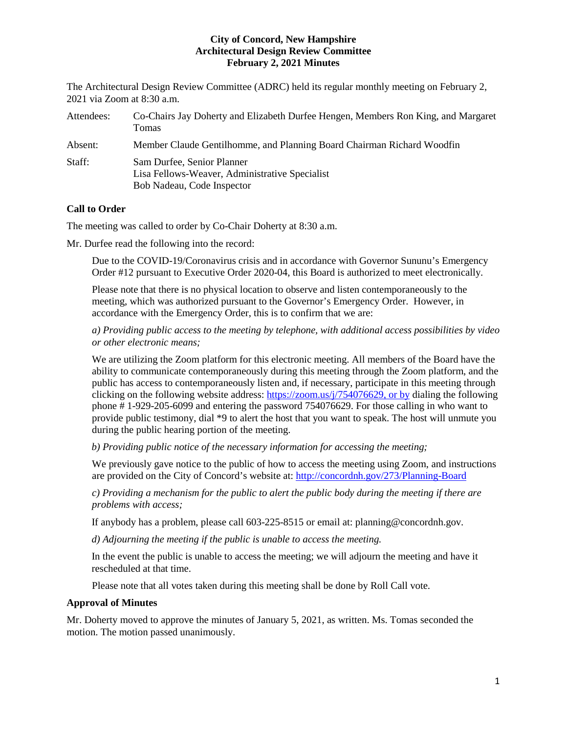The Architectural Design Review Committee (ADRC) held its regular monthly meeting on February 2, 2021 via Zoom at 8:30 a.m.

| Attendees: | Co-Chairs Jay Doherty and Elizabeth Durfee Hengen, Members Ron King, and Margaret<br><b>Tomas</b>          |
|------------|------------------------------------------------------------------------------------------------------------|
| Absent:    | Member Claude Gentilhomme, and Planning Board Chairman Richard Woodfin                                     |
| Staff:     | Sam Durfee, Senior Planner<br>Lisa Fellows-Weaver, Administrative Specialist<br>Bob Nadeau, Code Inspector |

# **Call to Order**

The meeting was called to order by Co-Chair Doherty at 8:30 a.m.

Mr. Durfee read the following into the record:

Due to the COVID-19/Coronavirus crisis and in accordance with Governor Sununu's Emergency Order #12 pursuant to Executive Order 2020-04, this Board is authorized to meet electronically.

Please note that there is no physical location to observe and listen contemporaneously to the meeting, which was authorized pursuant to the Governor's Emergency Order. However, in accordance with the Emergency Order, this is to confirm that we are:

*a) Providing public access to the meeting by telephone, with additional access possibilities by video or other electronic means;* 

We are utilizing the Zoom platform for this electronic meeting. All members of the Board have the ability to communicate contemporaneously during this meeting through the Zoom platform, and the public has access to contemporaneously listen and, if necessary, participate in this meeting through clicking on the following website address: [https://zoom.us/j/754076629,](https://zoom.us/j/754076629) or by dialing the following phone # 1-929-205-6099 and entering the password 754076629. For those calling in who want to provide public testimony, dial \*9 to alert the host that you want to speak. The host will unmute you during the public hearing portion of the meeting.

*b) Providing public notice of the necessary information for accessing the meeting;*

We previously gave notice to the public of how to access the meeting using Zoom, and instructions are provided on the City of Concord's website at: <http://concordnh.gov/273/Planning-Board>

*c) Providing a mechanism for the public to alert the public body during the meeting if there are problems with access;* 

If anybody has a problem, please call 603-225-8515 or email at: planning@concordnh.gov.

*d) Adjourning the meeting if the public is unable to access the meeting.*

In the event the public is unable to access the meeting; we will adjourn the meeting and have it rescheduled at that time.

Please note that all votes taken during this meeting shall be done by Roll Call vote.

# **Approval of Minutes**

Mr. Doherty moved to approve the minutes of January 5, 2021, as written. Ms. Tomas seconded the motion. The motion passed unanimously.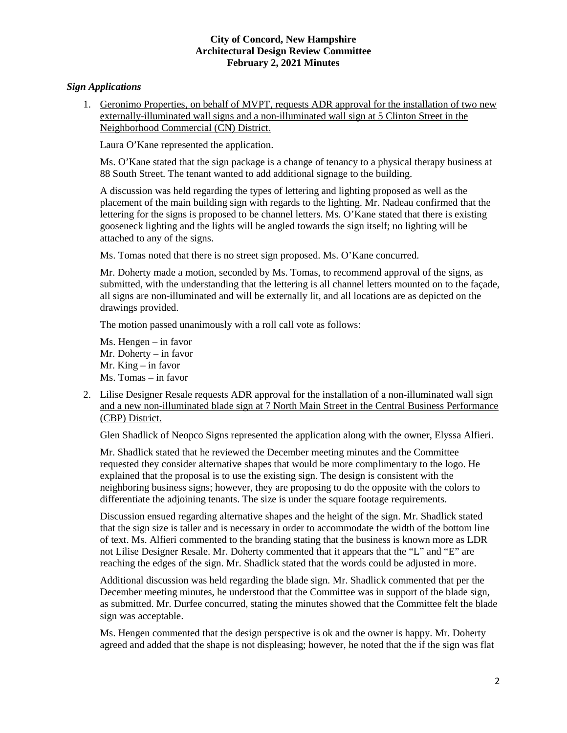# *Sign Applications*

1. Geronimo Properties, on behalf of MVPT, requests ADR approval for the installation of two new externally-illuminated wall signs and a non-illuminated wall sign at 5 Clinton Street in the Neighborhood Commercial (CN) District.

Laura O'Kane represented the application.

Ms. O'Kane stated that the sign package is a change of tenancy to a physical therapy business at 88 South Street. The tenant wanted to add additional signage to the building.

A discussion was held regarding the types of lettering and lighting proposed as well as the placement of the main building sign with regards to the lighting. Mr. Nadeau confirmed that the lettering for the signs is proposed to be channel letters. Ms. O'Kane stated that there is existing gooseneck lighting and the lights will be angled towards the sign itself; no lighting will be attached to any of the signs.

Ms. Tomas noted that there is no street sign proposed. Ms. O'Kane concurred.

Mr. Doherty made a motion, seconded by Ms. Tomas, to recommend approval of the signs, as submitted, with the understanding that the lettering is all channel letters mounted on to the façade, all signs are non-illuminated and will be externally lit, and all locations are as depicted on the drawings provided.

The motion passed unanimously with a roll call vote as follows:

Ms. Hengen – in favor Mr. Doherty – in favor Mr. King – in favor Ms. Tomas – in favor

2. Lilise Designer Resale requests ADR approval for the installation of a non-illuminated wall sign and a new non-illuminated blade sign at 7 North Main Street in the Central Business Performance (CBP) District.

Glen Shadlick of Neopco Signs represented the application along with the owner, Elyssa Alfieri.

Mr. Shadlick stated that he reviewed the December meeting minutes and the Committee requested they consider alternative shapes that would be more complimentary to the logo. He explained that the proposal is to use the existing sign. The design is consistent with the neighboring business signs; however, they are proposing to do the opposite with the colors to differentiate the adjoining tenants. The size is under the square footage requirements.

Discussion ensued regarding alternative shapes and the height of the sign. Mr. Shadlick stated that the sign size is taller and is necessary in order to accommodate the width of the bottom line of text. Ms. Alfieri commented to the branding stating that the business is known more as LDR not Lilise Designer Resale. Mr. Doherty commented that it appears that the "L" and "E" are reaching the edges of the sign. Mr. Shadlick stated that the words could be adjusted in more.

Additional discussion was held regarding the blade sign. Mr. Shadlick commented that per the December meeting minutes, he understood that the Committee was in support of the blade sign, as submitted. Mr. Durfee concurred, stating the minutes showed that the Committee felt the blade sign was acceptable.

Ms. Hengen commented that the design perspective is ok and the owner is happy. Mr. Doherty agreed and added that the shape is not displeasing; however, he noted that the if the sign was flat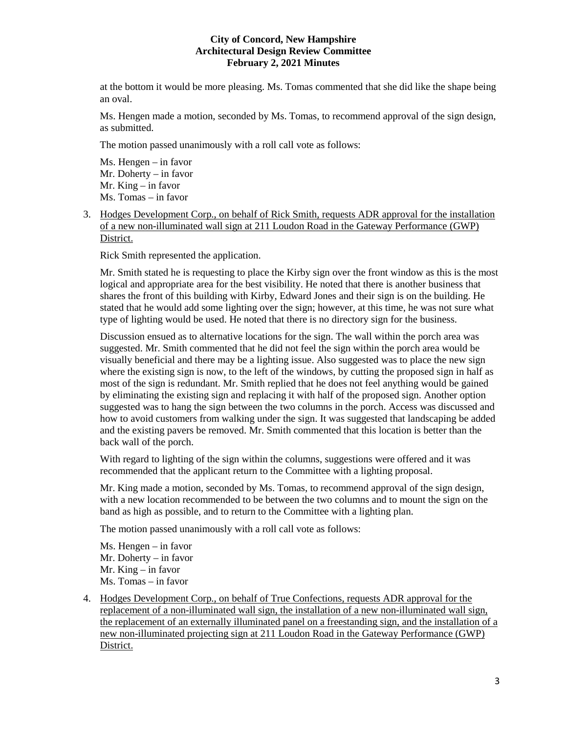at the bottom it would be more pleasing. Ms. Tomas commented that she did like the shape being an oval.

Ms. Hengen made a motion, seconded by Ms. Tomas, to recommend approval of the sign design, as submitted.

The motion passed unanimously with a roll call vote as follows:

Ms. Hengen – in favor Mr. Doherty – in favor Mr. King – in favor Ms. Tomas – in favor

3. Hodges Development Corp., on behalf of Rick Smith, requests ADR approval for the installation of a new non-illuminated wall sign at 211 Loudon Road in the Gateway Performance (GWP) District.

Rick Smith represented the application.

Mr. Smith stated he is requesting to place the Kirby sign over the front window as this is the most logical and appropriate area for the best visibility. He noted that there is another business that shares the front of this building with Kirby, Edward Jones and their sign is on the building. He stated that he would add some lighting over the sign; however, at this time, he was not sure what type of lighting would be used. He noted that there is no directory sign for the business.

Discussion ensued as to alternative locations for the sign. The wall within the porch area was suggested. Mr. Smith commented that he did not feel the sign within the porch area would be visually beneficial and there may be a lighting issue. Also suggested was to place the new sign where the existing sign is now, to the left of the windows, by cutting the proposed sign in half as most of the sign is redundant. Mr. Smith replied that he does not feel anything would be gained by eliminating the existing sign and replacing it with half of the proposed sign. Another option suggested was to hang the sign between the two columns in the porch. Access was discussed and how to avoid customers from walking under the sign. It was suggested that landscaping be added and the existing pavers be removed. Mr. Smith commented that this location is better than the back wall of the porch.

With regard to lighting of the sign within the columns, suggestions were offered and it was recommended that the applicant return to the Committee with a lighting proposal.

Mr. King made a motion, seconded by Ms. Tomas, to recommend approval of the sign design, with a new location recommended to be between the two columns and to mount the sign on the band as high as possible, and to return to the Committee with a lighting plan.

The motion passed unanimously with a roll call vote as follows:

Ms. Hengen – in favor Mr. Doherty – in favor Mr. King – in favor Ms. Tomas – in favor

4. Hodges Development Corp., on behalf of True Confections, requests ADR approval for the replacement of a non-illuminated wall sign, the installation of a new non-illuminated wall sign, the replacement of an externally illuminated panel on a freestanding sign, and the installation of a new non-illuminated projecting sign at 211 Loudon Road in the Gateway Performance (GWP) District.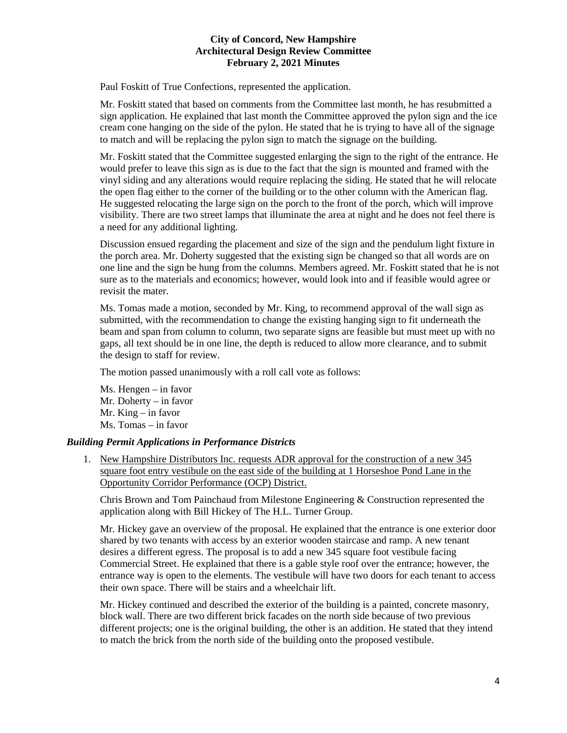Paul Foskitt of True Confections, represented the application.

Mr. Foskitt stated that based on comments from the Committee last month, he has resubmitted a sign application. He explained that last month the Committee approved the pylon sign and the ice cream cone hanging on the side of the pylon. He stated that he is trying to have all of the signage to match and will be replacing the pylon sign to match the signage on the building.

Mr. Foskitt stated that the Committee suggested enlarging the sign to the right of the entrance. He would prefer to leave this sign as is due to the fact that the sign is mounted and framed with the vinyl siding and any alterations would require replacing the siding. He stated that he will relocate the open flag either to the corner of the building or to the other column with the American flag. He suggested relocating the large sign on the porch to the front of the porch, which will improve visibility. There are two street lamps that illuminate the area at night and he does not feel there is a need for any additional lighting.

Discussion ensued regarding the placement and size of the sign and the pendulum light fixture in the porch area. Mr. Doherty suggested that the existing sign be changed so that all words are on one line and the sign be hung from the columns. Members agreed. Mr. Foskitt stated that he is not sure as to the materials and economics; however, would look into and if feasible would agree or revisit the mater.

Ms. Tomas made a motion, seconded by Mr. King, to recommend approval of the wall sign as submitted, with the recommendation to change the existing hanging sign to fit underneath the beam and span from column to column, two separate signs are feasible but must meet up with no gaps, all text should be in one line, the depth is reduced to allow more clearance, and to submit the design to staff for review.

The motion passed unanimously with a roll call vote as follows:

Ms. Hengen – in favor Mr. Doherty – in favor Mr. King – in favor Ms. Tomas – in favor

#### *Building Permit Applications in Performance Districts*

1. New Hampshire Distributors Inc. requests ADR approval for the construction of a new 345 square foot entry vestibule on the east side of the building at 1 Horseshoe Pond Lane in the Opportunity Corridor Performance (OCP) District.

Chris Brown and Tom Painchaud from Milestone Engineering & Construction represented the application along with Bill Hickey of The H.L. Turner Group.

Mr. Hickey gave an overview of the proposal. He explained that the entrance is one exterior door shared by two tenants with access by an exterior wooden staircase and ramp. A new tenant desires a different egress. The proposal is to add a new 345 square foot vestibule facing Commercial Street. He explained that there is a gable style roof over the entrance; however, the entrance way is open to the elements. The vestibule will have two doors for each tenant to access their own space. There will be stairs and a wheelchair lift.

Mr. Hickey continued and described the exterior of the building is a painted, concrete masonry, block wall. There are two different brick facades on the north side because of two previous different projects; one is the original building, the other is an addition. He stated that they intend to match the brick from the north side of the building onto the proposed vestibule.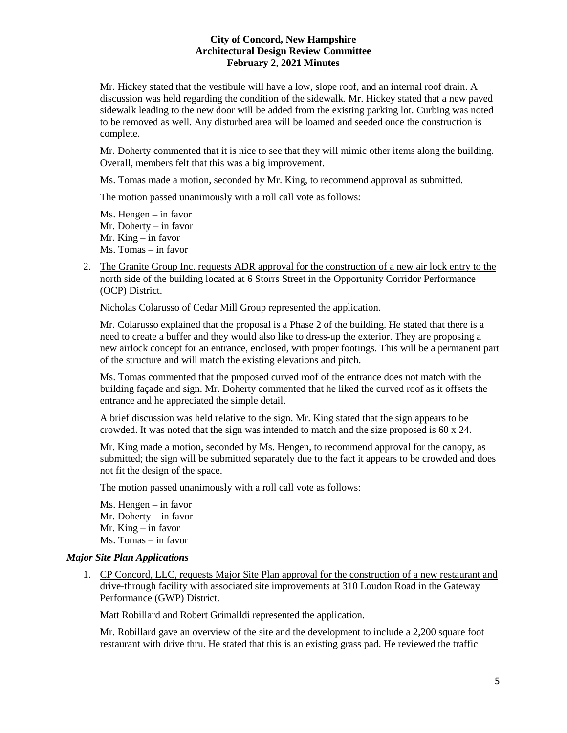Mr. Hickey stated that the vestibule will have a low, slope roof, and an internal roof drain. A discussion was held regarding the condition of the sidewalk. Mr. Hickey stated that a new paved sidewalk leading to the new door will be added from the existing parking lot. Curbing was noted to be removed as well. Any disturbed area will be loamed and seeded once the construction is complete.

Mr. Doherty commented that it is nice to see that they will mimic other items along the building. Overall, members felt that this was a big improvement.

Ms. Tomas made a motion, seconded by Mr. King, to recommend approval as submitted.

The motion passed unanimously with a roll call vote as follows:

Ms. Hengen – in favor Mr. Doherty – in favor Mr. King – in favor Ms. Tomas – in favor

# 2. The Granite Group Inc. requests ADR approval for the construction of a new air lock entry to the north side of the building located at 6 Storrs Street in the Opportunity Corridor Performance (OCP) District.

Nicholas Colarusso of Cedar Mill Group represented the application.

Mr. Colarusso explained that the proposal is a Phase 2 of the building. He stated that there is a need to create a buffer and they would also like to dress-up the exterior. They are proposing a new airlock concept for an entrance, enclosed, with proper footings. This will be a permanent part of the structure and will match the existing elevations and pitch.

Ms. Tomas commented that the proposed curved roof of the entrance does not match with the building façade and sign. Mr. Doherty commented that he liked the curved roof as it offsets the entrance and he appreciated the simple detail.

A brief discussion was held relative to the sign. Mr. King stated that the sign appears to be crowded. It was noted that the sign was intended to match and the size proposed is 60 x 24.

Mr. King made a motion, seconded by Ms. Hengen, to recommend approval for the canopy, as submitted; the sign will be submitted separately due to the fact it appears to be crowded and does not fit the design of the space.

The motion passed unanimously with a roll call vote as follows:

Ms. Hengen – in favor Mr. Doherty – in favor Mr. King – in favor Ms. Tomas – in favor

# *Major Site Plan Applications*

1. CP Concord, LLC, requests Major Site Plan approval for the construction of a new restaurant and drive-through facility with associated site improvements at 310 Loudon Road in the Gateway Performance (GWP) District.

Matt Robillard and Robert Grimalldi represented the application.

Mr. Robillard gave an overview of the site and the development to include a 2,200 square foot restaurant with drive thru. He stated that this is an existing grass pad. He reviewed the traffic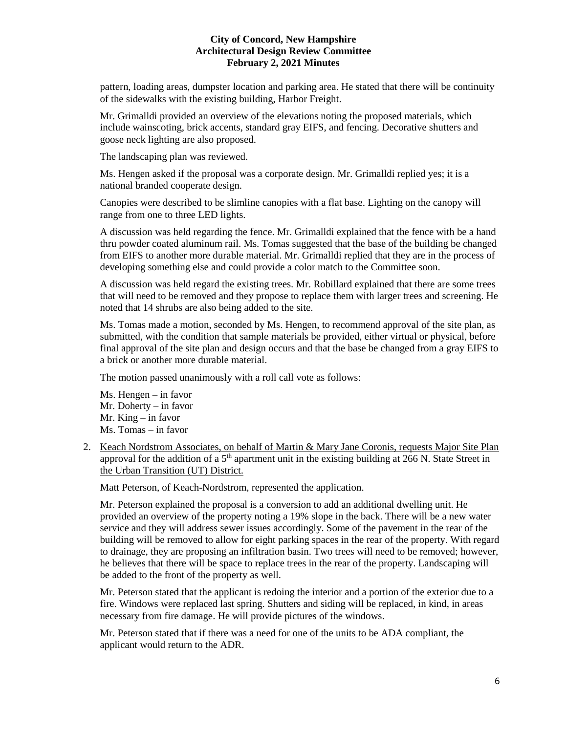pattern, loading areas, dumpster location and parking area. He stated that there will be continuity of the sidewalks with the existing building, Harbor Freight.

Mr. Grimalldi provided an overview of the elevations noting the proposed materials, which include wainscoting, brick accents, standard gray EIFS, and fencing. Decorative shutters and goose neck lighting are also proposed.

The landscaping plan was reviewed.

Ms. Hengen asked if the proposal was a corporate design. Mr. Grimalldi replied yes; it is a national branded cooperate design.

Canopies were described to be slimline canopies with a flat base. Lighting on the canopy will range from one to three LED lights.

A discussion was held regarding the fence. Mr. Grimalldi explained that the fence with be a hand thru powder coated aluminum rail. Ms. Tomas suggested that the base of the building be changed from EIFS to another more durable material. Mr. Grimalldi replied that they are in the process of developing something else and could provide a color match to the Committee soon.

A discussion was held regard the existing trees. Mr. Robillard explained that there are some trees that will need to be removed and they propose to replace them with larger trees and screening. He noted that 14 shrubs are also being added to the site.

Ms. Tomas made a motion, seconded by Ms. Hengen, to recommend approval of the site plan, as submitted, with the condition that sample materials be provided, either virtual or physical, before final approval of the site plan and design occurs and that the base be changed from a gray EIFS to a brick or another more durable material.

The motion passed unanimously with a roll call vote as follows:

Ms. Hengen – in favor Mr. Doherty – in favor Mr. King – in favor Ms. Tomas – in favor

2. Keach Nordstrom Associates, on behalf of Martin & Mary Jane Coronis, requests Major Site Plan approval for the addition of a  $5<sup>th</sup>$  apartment unit in the existing building at  $266$  N. State Street in the Urban Transition (UT) District.

Matt Peterson, of Keach-Nordstrom, represented the application.

Mr. Peterson explained the proposal is a conversion to add an additional dwelling unit. He provided an overview of the property noting a 19% slope in the back. There will be a new water service and they will address sewer issues accordingly. Some of the pavement in the rear of the building will be removed to allow for eight parking spaces in the rear of the property. With regard to drainage, they are proposing an infiltration basin. Two trees will need to be removed; however, he believes that there will be space to replace trees in the rear of the property. Landscaping will be added to the front of the property as well.

Mr. Peterson stated that the applicant is redoing the interior and a portion of the exterior due to a fire. Windows were replaced last spring. Shutters and siding will be replaced, in kind, in areas necessary from fire damage. He will provide pictures of the windows.

Mr. Peterson stated that if there was a need for one of the units to be ADA compliant, the applicant would return to the ADR.